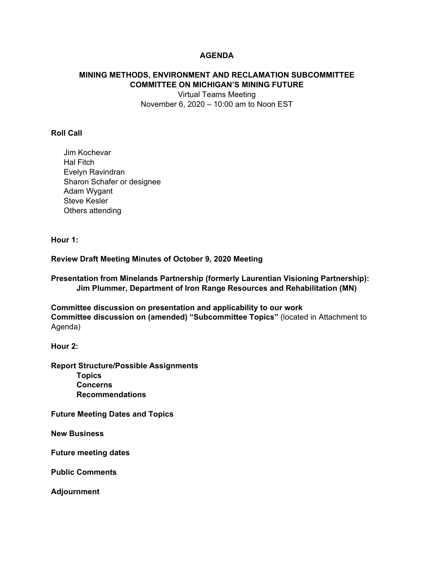# **AGENDA**

# **MINING METHODS, ENVIRONMENT AND RECLAMATION SUBCOMMITTEE COMMITTEE ON MICHIGAN'S MINING FUTURE**

Virtual Teams Meeting November 6, 2020 – 10:00 am to Noon EST

### **Roll Call**

Jim Kochevar Hal Fitch Evelyn Ravindran Sharon Schafer or designee Adam Wygant Steve Kesler Others attending

**Hour 1:** 

#### **Review Draft Meeting Minutes of October 9, 2020 Meeting**

**Presentation from Minelands Partnership (formerly Laurentian Visioning Partnership): Jim Plummer, Department of Iron Range Resources and Rehabilitation (MN)** 

**Committee discussion on presentation and applicability to our work Committee discussion on (amended) "Subcommittee Topics"** (located in Attachment to Agenda)

**Hour 2:** 

**Report Structure/Possible Assignments Topics Concerns Recommendations** 

**Future Meeting Dates and Topics** 

**New Business** 

**Future meeting dates** 

**Public Comments** 

**Adjournment**